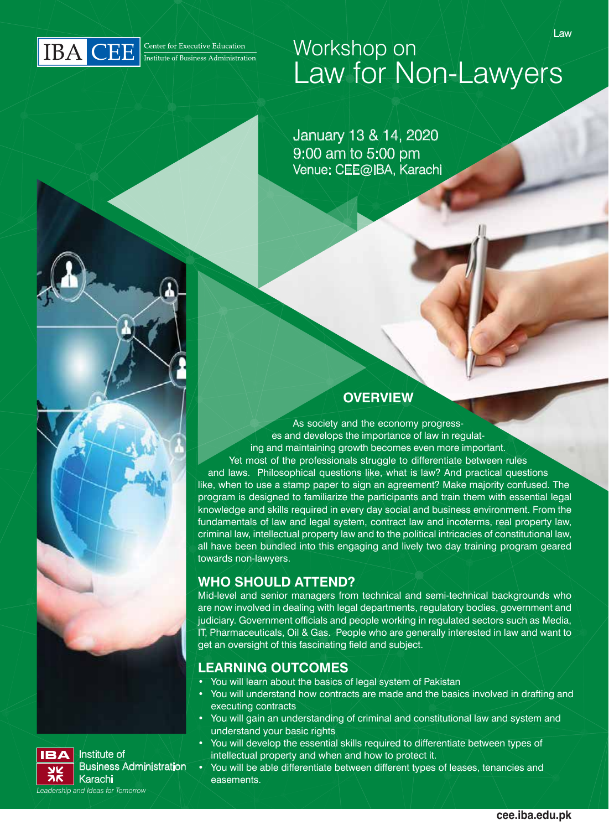

## Law Workshop on Law for Non-Lawyers

January 13 & 14, 2020 9:00 am to 5:00 pm Venue: CEE@IBA, Karachi

#### **OVERVIEW**

As society and the economy progresses and develops the importance of law in regulating and maintaining growth becomes even more important. Yet most of the professionals struggle to differentiate between rules and laws. Philosophical questions like, what is law? And practical questions like, when to use a stamp paper to sign an agreement? Make majority confused. The program is designed to familiarize the participants and train them with essential legal knowledge and skills required in every day social and business environment. From the fundamentals of law and legal system, contract law and incoterms, real property law, criminal law, intellectual property law and to the political intricacies of constitutional law, all have been bundled into this engaging and lively two day training program geared towards non-lawyers.

#### **WHO SHOULD ATTEND?**

Mid-level and senior managers from technical and semi-technical backgrounds who are now involved in dealing with legal departments, regulatory bodies, government and judiciary. Government officials and people working in regulated sectors such as Media, IT, Pharmaceuticals, Oil & Gas. People who are generally interested in law and want to get an oversight of this fascinating field and subject.

#### **LEARNING OUTCOMES**

- You will learn about the basics of legal system of Pakistan
- You will understand how contracts are made and the basics involved in drafting and executing contracts
- You will gain an understanding of criminal and constitutional law and system and understand your basic rights
- You will develop the essential skills required to differentiate between types of intellectual property and when and how to protect it.
- You will be able differentiate between different types of leases, tenancies and easements.



Institute of Business Administration Karachi *Leadership and Ideas for Tomorrow*